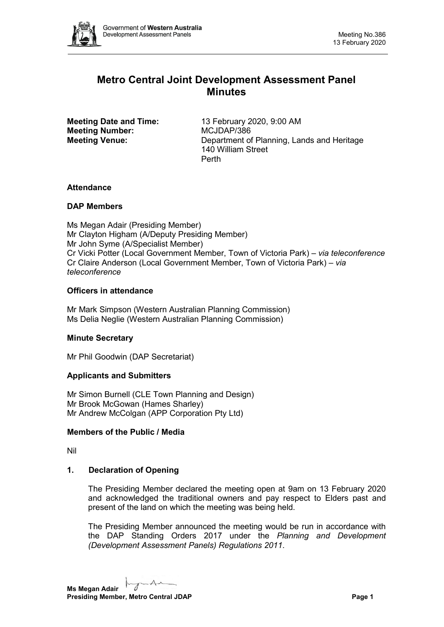

# **Metro Central Joint Development Assessment Panel Minutes**

**Meeting Number:** MCJDAP/386

**Meeting Date and Time:** 13 February 2020, 9:00 AM **Meeting Venue:** Department of Planning, Lands and Heritage 140 William Street Perth

## **Attendance**

## **DAP Members**

Ms Megan Adair (Presiding Member) Mr Clayton Higham (A/Deputy Presiding Member) Mr John Syme (A/Specialist Member) Cr Vicki Potter (Local Government Member, Town of Victoria Park) *– via teleconference* Cr Claire Anderson (Local Government Member, Town of Victoria Park) *– via teleconference*

## **Officers in attendance**

Mr Mark Simpson (Western Australian Planning Commission) Ms Delia Neglie (Western Australian Planning Commission)

## **Minute Secretary**

Mr Phil Goodwin (DAP Secretariat)

## **Applicants and Submitters**

Mr Simon Burnell (CLE Town Planning and Design) Mr Brook McGowan (Hames Sharley) Mr Andrew McColgan (APP Corporation Pty Ltd)

## **Members of the Public / Media**

Nil

## **1. Declaration of Opening**

The Presiding Member declared the meeting open at 9am on 13 February 2020 and acknowledged the traditional owners and pay respect to Elders past and present of the land on which the meeting was being held.

The Presiding Member announced the meeting would be run in accordance with the DAP Standing Orders 2017 under the *Planning and Development (Development Assessment Panels) Regulations 2011*.

 $\overline{A}$ **Ms Megan Adair Presiding Member, Metro Central JDAP Page 1 Page 1**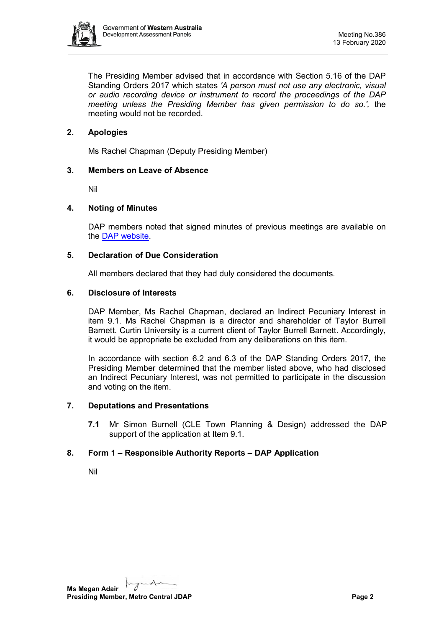

The Presiding Member advised that in accordance with Section 5.16 of the DAP Standing Orders 2017 which states *'A person must not use any electronic, visual or audio recording device or instrument to record the proceedings of the DAP meeting unless the Presiding Member has given permission to do so.',* the meeting would not be recorded.

## **2. Apologies**

Ms Rachel Chapman (Deputy Presiding Member)

## **3. Members on Leave of Absence**

Nil

## **4. Noting of Minutes**

DAP members noted that signed minutes of previous meetings are available on the [DAP website.](https://www.dplh.wa.gov.au/about/development-assessment-panels/daps-agendas-and-minutes)

## **5. Declaration of Due Consideration**

All members declared that they had duly considered the documents.

## **6. Disclosure of Interests**

DAP Member, Ms Rachel Chapman, declared an Indirect Pecuniary Interest in item 9.1. Ms Rachel Chapman is a director and shareholder of Taylor Burrell Barnett. Curtin University is a current client of Taylor Burrell Barnett. Accordingly, it would be appropriate be excluded from any deliberations on this item.

In accordance with section 6.2 and 6.3 of the DAP Standing Orders 2017, the Presiding Member determined that the member listed above, who had disclosed an Indirect Pecuniary Interest, was not permitted to participate in the discussion and voting on the item.

#### **7. Deputations and Presentations**

**7.1** Mr Simon Burnell (CLE Town Planning & Design) addressed the DAP support of the application at Item 9.1.

## **8. Form 1 – Responsible Authority Reports – DAP Application**

Nil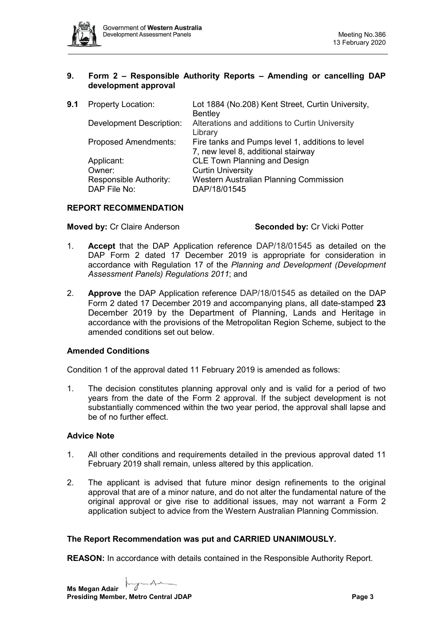

## **9. Form 2 – Responsible Authority Reports – Amending or cancelling DAP development approval**

**9.1** Property Location: Lot 1884 (No.208) Kent Street, Curtin University, **Bentley** Development Description: Alterations and additions to Curtin University Library Proposed Amendments: Fire tanks and Pumps level 1, additions to level 7, new level 8, additional stairway Applicant: CLE Town Planning and Design Owner: Curtin University Responsible Authority: Western Australian Planning Commission DAP File No: DAP/18/01545

# **REPORT RECOMMENDATION**

**Moved by: Cr Claire Anderson <b>Seconded by: Cr** Vicki Potter

- 1. **Accept** that the DAP Application reference DAP/18/01545 as detailed on the DAP Form 2 dated 17 December 2019 is appropriate for consideration in accordance with Regulation 17 of the *Planning and Development (Development Assessment Panels) Regulations 2011*; and
- 2. **Approve** the DAP Application reference DAP/18/01545 as detailed on the DAP Form 2 dated 17 December 2019 and accompanying plans, all date-stamped **23** December 2019 by the Department of Planning, Lands and Heritage in accordance with the provisions of the Metropolitan Region Scheme, subject to the amended conditions set out below.

## **Amended Conditions**

Condition 1 of the approval dated 11 February 2019 is amended as follows:

1. The decision constitutes planning approval only and is valid for a period of two years from the date of the Form 2 approval. If the subject development is not substantially commenced within the two year period, the approval shall lapse and be of no further effect.

## **Advice Note**

- 1. All other conditions and requirements detailed in the previous approval dated 11 February 2019 shall remain, unless altered by this application.
- 2. The applicant is advised that future minor design refinements to the original approval that are of a minor nature, and do not alter the fundamental nature of the original approval or give rise to additional issues, may not warrant a Form 2 application subject to advice from the Western Australian Planning Commission.

#### **The Report Recommendation was put and CARRIED UNANIMOUSLY.**

**REASON:** In accordance with details contained in the Responsible Authority Report.

 $\overline{A}$ **Ms Megan Adair Presiding Member, Metro Central JDAP Page 3 Page 3**